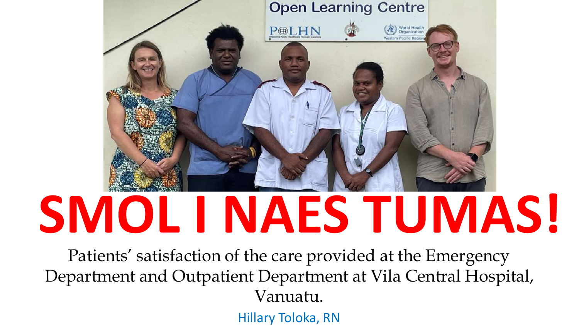

# **SMOL I NAES TUMAS!**

Patients' satisfaction of the care provided at the Emergency Department and Outpatient Department at Vila Central Hospital, Vanuatu.

Hillary Toloka, RN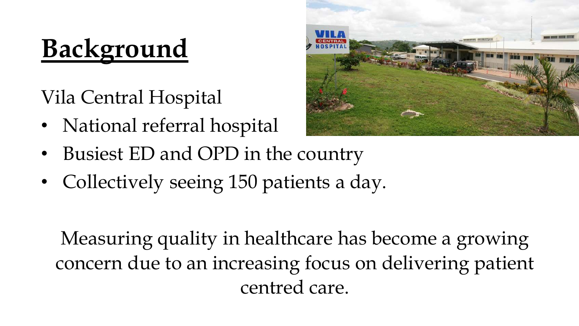# **Background**

Vila Central Hospital

- National referral hospital
- Busiest ED and OPD in the country
- Collectively seeing 150 patients a day.

Measuring quality in healthcare has become a growing concern due to an increasing focus on delivering patient centred care.

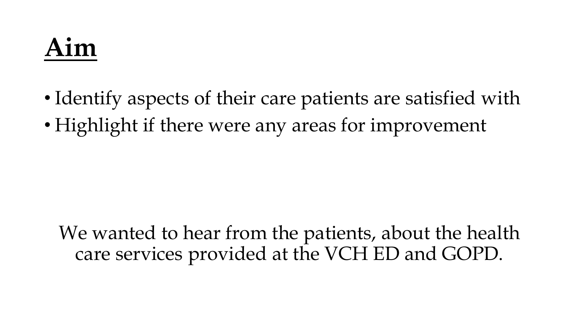## **Aim**

- Identify aspects of their care patients are satisfied with
- Highlight if there were any areas for improvement

We wanted to hear from the patients, about the health care services provided at the VCH ED and GOPD.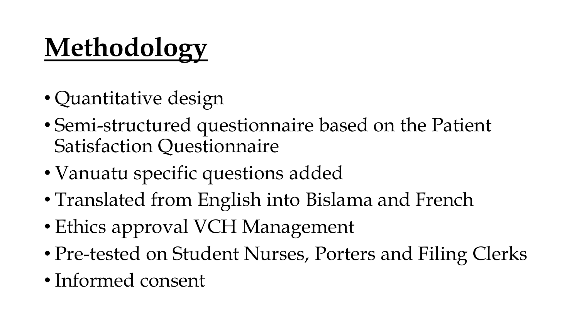# **Methodology**

- Quantitative design
- Semi-structured questionnaire based on the Patient Satisfaction Questionnaire
- Vanuatu specific questions added
- Translated from English into Bislama and French
- Ethics approval VCH Management
- Pre-tested on Student Nurses, Porters and Filing Clerks
- Informed consent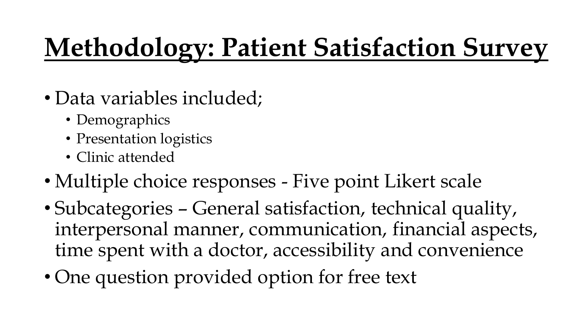# **Methodology: Patient Satisfaction Survey**

- Data variables included;
	- Demographics
	- Presentation logistics
	- Clinic attended
- Multiple choice responses Five point Likert scale
- Subcategories General satisfaction, technical quality, interpersonal manner, communication, financial aspects, time spent with a doctor, accessibility and convenience
- One question provided option for free text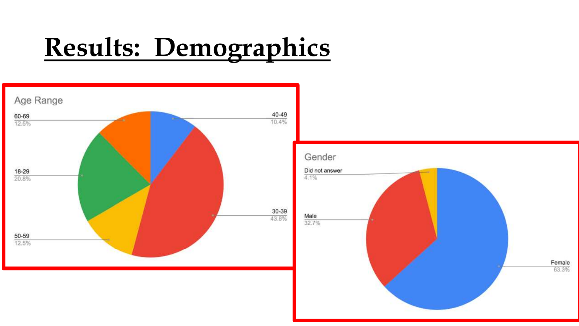# **Results: Demographics**

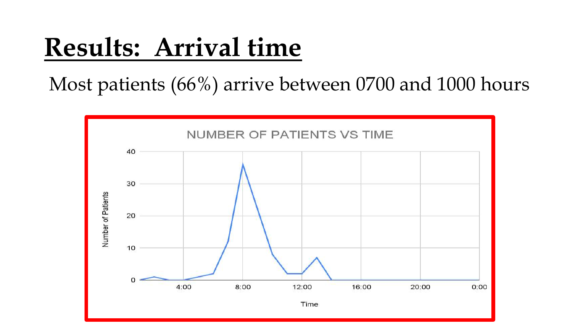#### **Results: Arrival time**

Most patients (66%) arrive between 0700 and 1000 hours

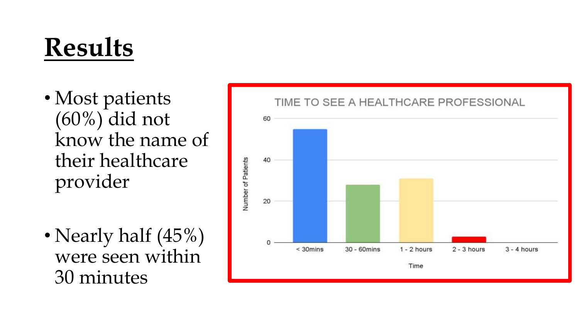## **Results**

- Most patients (60%) did not know the name of their healthcare provider
- Nearly half (45%) were seen within 30 minutes

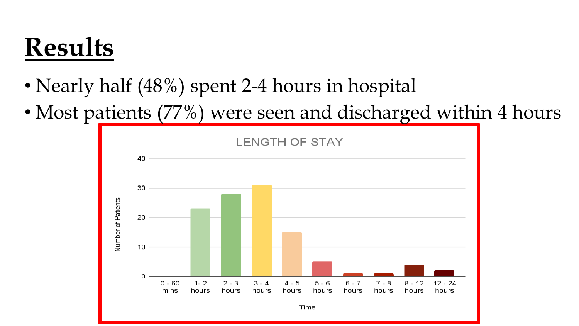#### **Results**

- Nearly half (48%) spent 2-4 hours in hospital
- Most patients (77%) were seen and discharged within 4 hours

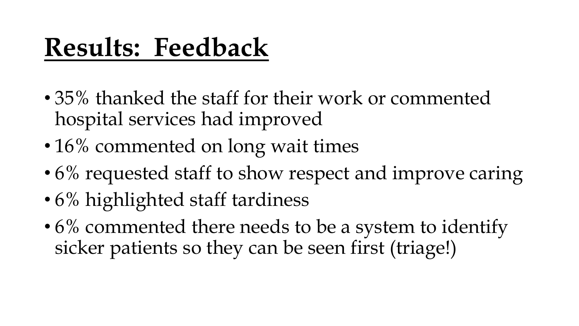### **Results: Feedback**

- 35% thanked the staff for their work or commented hospital services had improved
- 16% commented on long wait times
- 6% requested staff to show respect and improve caring
- 6% highlighted staff tardiness
- 6% commented there needs to be a system to identify sicker patients so they can be seen first (triage!)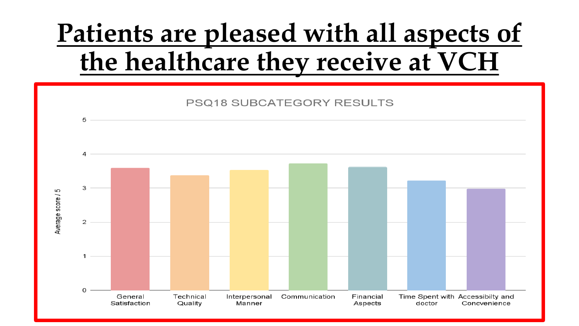### **Patients are pleased with all aspects of the healthcare they receive at VCH**

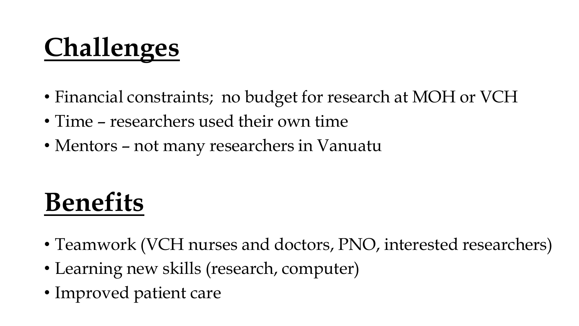# **Challenges**

- Financial constraints; no budget for research at MOH or VCH
- Time researchers used their own time
- Mentors not many researchers in Vanuatu

## **Benefits**

- Teamwork (VCH nurses and doctors, PNO, interested researchers)
- Learning new skills (research, computer)
- Improved patient care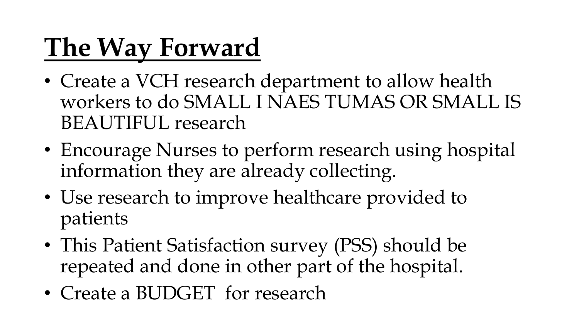## **The Way Forward**

- Create a VCH research department to allow health workers to do SMALL I NAES TUMAS OR SMALL IS BEAUTIFUL research
- Encourage Nurses to perform research using hospital information they are already collecting.
- Use research to improve healthcare provided to patients
- This Patient Satisfaction survey (PSS) should be repeated and done in other part of the hospital.
- Create a BUDGET for research